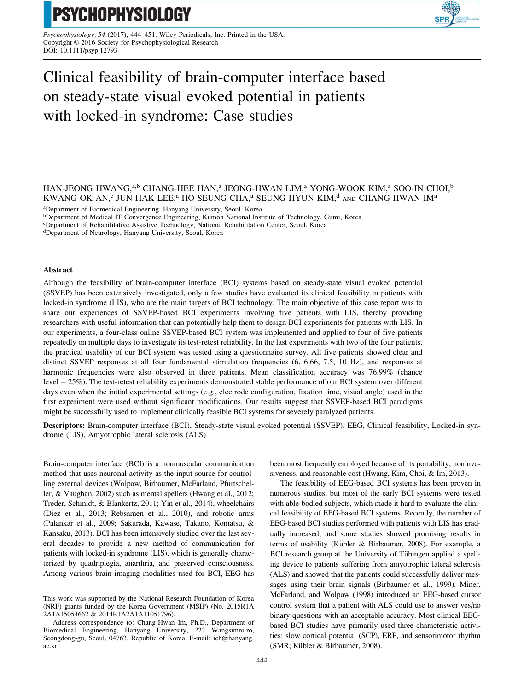# PSYCHOPHYSIOLOGY

Psychophysiology, 54 (2017), 444–451. Wiley Periodicals, Inc. Printed in the USA. Copyright © 2016 Society for Psychophysiological Research DOI: 10.1111/psyp.12793



## Clinical feasibility of brain-computer interface based on steady-state visual evoked potential in patients with locked-in syndrome: Case studies

HAN-JEONG HWANG,<sup>a,b</sup> CHANG-HEE HAN,<sup>a</sup> JEONG-HWAN LIM,<sup>a</sup> YONG-WOOK KIM,<sup>a</sup> SOO-IN CHOI,<sup>b</sup> KWANG-OK AN,<sup>c</sup> JUN-HAK LEE,<sup>a</sup> HO-SEUNG CHA,<sup>a</sup> SEUNG HYUN KIM,<sup>d</sup> AND CHANG-HWAN IM<sup>a</sup>

a Department of Biomedical Engineering, Hanyang University, Seoul, Korea

b Department of Medical IT Convergence Engineering, Kumoh National Institute of Technology, Gumi, Korea

d Department of Neurology, Hanyang University, Seoul, Korea

### Abstract

Although the feasibility of brain-computer interface (BCI) systems based on steady-state visual evoked potential (SSVEP) has been extensively investigated, only a few studies have evaluated its clinical feasibility in patients with locked-in syndrome (LIS), who are the main targets of BCI technology. The main objective of this case report was to share our experiences of SSVEP-based BCI experiments involving five patients with LIS, thereby providing researchers with useful information that can potentially help them to design BCI experiments for patients with LIS. In our experiments, a four-class online SSVEP-based BCI system was implemented and applied to four of five patients repeatedly on multiple days to investigate its test-retest reliability. In the last experiments with two of the four patients, the practical usability of our BCI system was tested using a questionnaire survey. All five patients showed clear and distinct SSVEP responses at all four fundamental stimulation frequencies (6, 6.66, 7.5, 10 Hz), and responses at harmonic frequencies were also observed in three patients. Mean classification accuracy was 76.99% (chance  $level = 25\%$ ). The test-retest reliability experiments demonstrated stable performance of our BCI system over different days even when the initial experimental settings (e.g., electrode configuration, fixation time, visual angle) used in the first experiment were used without significant modifications. Our results suggest that SSVEP-based BCI paradigms might be successfully used to implement clinically feasible BCI systems for severely paralyzed patients.

Descriptors: Brain-computer interface (BCI), Steady-state visual evoked potential (SSVEP), EEG, Clinical feasibility, Locked-in syndrome (LIS), Amyotrophic lateral sclerosis (ALS)

Brain-computer interface (BCI) is a nonmuscular communication method that uses neuronal activity as the input source for controlling external devices (Wolpaw, Birbaumer, McFarland, Pfurtscheller, & Vaughan, 2002) such as mental spellers (Hwang et al., 2012; Treder, Schmidt, & Blankertz, 2011; Yin et al., 2014), wheelchairs (Diez et al., 2013; Rebsamen et al., 2010), and robotic arms (Palankar et al., 2009; Sakurada, Kawase, Takano, Komatsu, & Kansaku, 2013). BCI has been intensively studied over the last several decades to provide a new method of communication for patients with locked-in syndrome (LIS), which is generally characterized by quadriplegia, anarthria, and preserved consciousness. Among various brain imaging modalities used for BCI, EEG has

been most frequently employed because of its portability, noninvasiveness, and reasonable cost (Hwang, Kim, Choi, & Im, 2013).

The feasibility of EEG-based BCI systems has been proven in numerous studies, but most of the early BCI systems were tested with able-bodied subjects, which made it hard to evaluate the clinical feasibility of EEG-based BCI systems. Recently, the number of EEG-based BCI studies performed with patients with LIS has gradually increased, and some studies showed promising results in terms of usability (Kübler & Birbaumer, 2008). For example, a BCI research group at the University of Tübingen applied a spelling device to patients suffering from amyotrophic lateral sclerosis (ALS) and showed that the patients could successfully deliver messages using their brain signals (Birbaumer et al., 1999). Miner, McFarland, and Wolpaw (1998) introduced an EEG-based cursor control system that a patient with ALS could use to answer yes/no binary questions with an acceptable accuracy. Most clinical EEGbased BCI studies have primarily used three characteristic activities: slow cortical potential (SCP), ERP, and sensorimotor rhythm (SMR; Kübler & Birbaumer, 2008).

c Department of Rehabilitative Assistive Technology, National Rehabilitation Center, Seoul, Korea

This work was supported by the National Research Foundation of Korea (NRF) grants funded by the Korea Government (MSIP) (No. 2015R1A 2A1A15054662 & 2014R1A2A1A11051796).

Address correspondence to: Chang-Hwan Im, Ph.D., Department of Biomedical Engineering, Hanyang University, 222 Wangsimni-ro, Seongdong-gu, Seoul, 04763, Republic of Korea. E-mail: ich@hanyang. ac.kr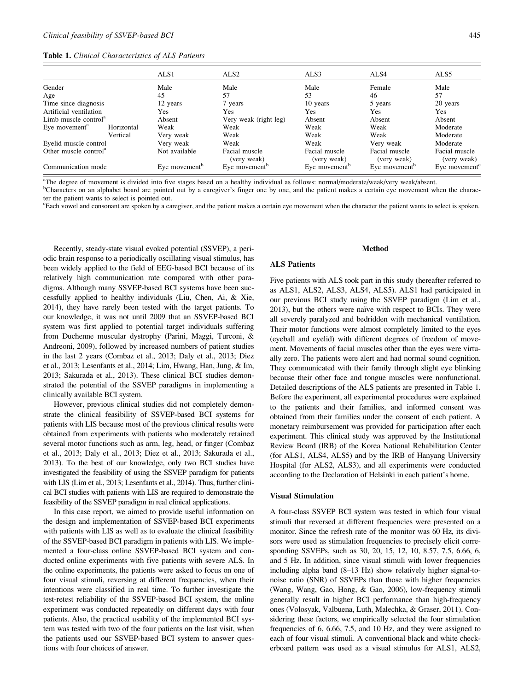|                                   |            | ALS <sub>1</sub>          | ALS <sub>2</sub>             | ALS3                         | ALS4                         | ALS <sub>5</sub>             |
|-----------------------------------|------------|---------------------------|------------------------------|------------------------------|------------------------------|------------------------------|
| Gender                            |            | Male                      | Male                         | Male                         | Female                       | Male                         |
| Age                               |            | 45                        | 57                           | 53                           | 46                           | 57                           |
| Time since diagnosis              |            | 12 years                  | 7 years                      | 10 years                     | 5 years                      | 20 years                     |
| Artificial ventilation            |            | Yes                       | Yes                          | Yes                          | Yes                          | Yes                          |
| Limb muscle control $^a$          |            | Absent                    | Very weak (right leg)        | Absent                       | Absent                       | Absent                       |
| Eye movement <sup>a</sup>         | Horizontal | Weak                      | Weak                         | Weak                         | Weak                         | Moderate                     |
|                                   | Vertical   | Very weak                 | Weak                         | Weak                         | Weak                         | Moderate                     |
| Eyelid muscle control             |            | Very weak                 | Weak                         | Weak                         | Very weak                    | Moderate                     |
| Other muscle control <sup>a</sup> |            | Not available             | Facial muscle<br>(very weak) | Facial muscle<br>(very weak) | Facial muscle<br>(very weak) | Facial muscle<br>(very weak) |
| Communication mode                |            | Eye movement <sup>b</sup> | Eye movement <sup>b</sup>    | Eye movement <sup>b</sup>    | Eye movement <sup>b</sup>    | Eye movement <sup>c</sup>    |

a The degree of movement is divided into five stages based on a healthy individual as follows: normal/moderate/weak/very weak/absent.

b Characters on an alphabet board are pointed out by a caregiver's finger one by one, and the patient makes a certain eye movement when the character the patient wants to select is pointed out.

c Each vowel and consonant are spoken by a caregiver, and the patient makes a certain eye movement when the character the patient wants to select is spoken.

Recently, steady-state visual evoked potential (SSVEP), a periodic brain response to a periodically oscillating visual stimulus, has been widely applied to the field of EEG-based BCI because of its relatively high communication rate compared with other paradigms. Although many SSVEP-based BCI systems have been successfully applied to healthy individuals (Liu, Chen, Ai, & Xie, 2014), they have rarely been tested with the target patients. To our knowledge, it was not until 2009 that an SSVEP-based BCI system was first applied to potential target individuals suffering from Duchenne muscular dystrophy (Parini, Maggi, Turconi, & Andreoni, 2009), followed by increased numbers of patient studies in the last 2 years (Combaz et al., 2013; Daly et al., 2013; Diez et al., 2013; Lesenfants et al., 2014; Lim, Hwang, Han, Jung, & Im, 2013; Sakurada et al., 2013). These clinical BCI studies demonstrated the potential of the SSVEP paradigms in implementing a clinically available BCI system.

However, previous clinical studies did not completely demonstrate the clinical feasibility of SSVEP-based BCI systems for patients with LIS because most of the previous clinical results were obtained from experiments with patients who moderately retained several motor functions such as arm, leg, head, or finger (Combaz et al., 2013; Daly et al., 2013; Diez et al., 2013; Sakurada et al., 2013). To the best of our knowledge, only two BCI studies have investigated the feasibility of using the SSVEP paradigm for patients with LIS (Lim et al., 2013; Lesenfants et al., 2014). Thus, further clinical BCI studies with patients with LIS are required to demonstrate the feasibility of the SSVEP paradigm in real clinical applications.

In this case report, we aimed to provide useful information on the design and implementation of SSVEP-based BCI experiments with patients with LIS as well as to evaluate the clinical feasibility of the SSVEP-based BCI paradigm in patients with LIS. We implemented a four-class online SSVEP-based BCI system and conducted online experiments with five patients with severe ALS. In the online experiments, the patients were asked to focus on one of four visual stimuli, reversing at different frequencies, when their intentions were classified in real time. To further investigate the test-retest reliability of the SSVEP-based BCI system, the online experiment was conducted repeatedly on different days with four patients. Also, the practical usability of the implemented BCI system was tested with two of the four patients on the last visit, when the patients used our SSVEP-based BCI system to answer questions with four choices of answer.

#### Method

## ALS Patients

Five patients with ALS took part in this study (hereafter referred to as ALS1, ALS2, ALS3, ALS4, ALS5). ALS1 had participated in our previous BCI study using the SSVEP paradigm (Lim et al., 2013), but the others were naïve with respect to BCIs. They were all severely paralyzed and bedridden with mechanical ventilation. Their motor functions were almost completely limited to the eyes (eyeball and eyelid) with different degrees of freedom of movement. Movements of facial muscles other than the eyes were virtually zero. The patients were alert and had normal sound cognition. They communicated with their family through slight eye blinking because their other face and tongue muscles were nonfunctional. Detailed descriptions of the ALS patients are presented in Table 1. Before the experiment, all experimental procedures were explained to the patients and their families, and informed consent was obtained from their families under the consent of each patient. A monetary reimbursement was provided for participation after each experiment. This clinical study was approved by the Institutional Review Board (IRB) of the Korea National Rehabilitation Center (for ALS1, ALS4, ALS5) and by the IRB of Hanyang University Hospital (for ALS2, ALS3), and all experiments were conducted according to the Declaration of Helsinki in each patient's home.

## Visual Stimulation

A four-class SSVEP BCI system was tested in which four visual stimuli that reversed at different frequencies were presented on a monitor. Since the refresh rate of the monitor was 60 Hz, its divisors were used as stimulation frequencies to precisely elicit corresponding SSVEPs, such as 30, 20, 15, 12, 10, 8.57, 7.5, 6.66, 6, and 5 Hz. In addition, since visual stimuli with lower frequencies including alpha band (8–13 Hz) show relatively higher signal-tonoise ratio (SNR) of SSVEPs than those with higher frequencies (Wang, Wang, Gao, Hong, & Gao, 2006), low-frequency stimuli generally result in higher BCI performance than high-frequency ones (Volosyak, Valbuena, Luth, Malechka, & Graser, 2011). Considering these factors, we empirically selected the four stimulation frequencies of 6, 6.66, 7.5, and 10 Hz, and they were assigned to each of four visual stimuli. A conventional black and white checkerboard pattern was used as a visual stimulus for ALS1, ALS2,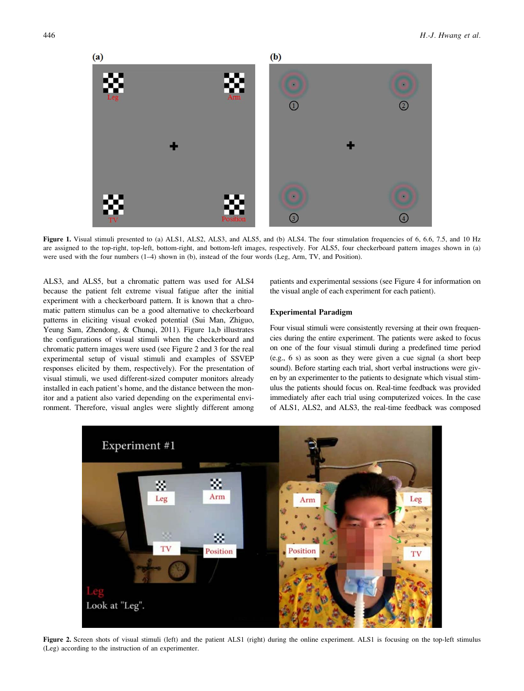

Figure 1. Visual stimuli presented to (a) ALS1, ALS2, ALS3, and ALS5, and (b) ALS4. The four stimulation frequencies of 6, 6.6, 7.5, and 10 Hz are assigned to the top-right, top-left, bottom-right, and bottom-left images, respectively. For ALS5, four checkerboard pattern images shown in (a) were used with the four numbers (1–4) shown in (b), instead of the four words (Leg, Arm, TV, and Position).

ALS3, and ALS5, but a chromatic pattern was used for ALS4 because the patient felt extreme visual fatigue after the initial experiment with a checkerboard pattern. It is known that a chromatic pattern stimulus can be a good alternative to checkerboard patterns in eliciting visual evoked potential (Sui Man, Zhiguo, Yeung Sam, Zhendong, & Chunqi, 2011). Figure 1a,b illustrates the configurations of visual stimuli when the checkerboard and chromatic pattern images were used (see Figure 2 and 3 for the real experimental setup of visual stimuli and examples of SSVEP responses elicited by them, respectively). For the presentation of visual stimuli, we used different-sized computer monitors already installed in each patient's home, and the distance between the monitor and a patient also varied depending on the experimental environment. Therefore, visual angles were slightly different among patients and experimental sessions (see Figure 4 for information on the visual angle of each experiment for each patient).

## Experimental Paradigm

Four visual stimuli were consistently reversing at their own frequencies during the entire experiment. The patients were asked to focus on one of the four visual stimuli during a predefined time period (e.g., 6 s) as soon as they were given a cue signal (a short beep sound). Before starting each trial, short verbal instructions were given by an experimenter to the patients to designate which visual stimulus the patients should focus on. Real-time feedback was provided immediately after each trial using computerized voices. In the case of ALS1, ALS2, and ALS3, the real-time feedback was composed



Figure 2. Screen shots of visual stimuli (left) and the patient ALS1 (right) during the online experiment. ALS1 is focusing on the top-left stimulus (Leg) according to the instruction of an experimenter.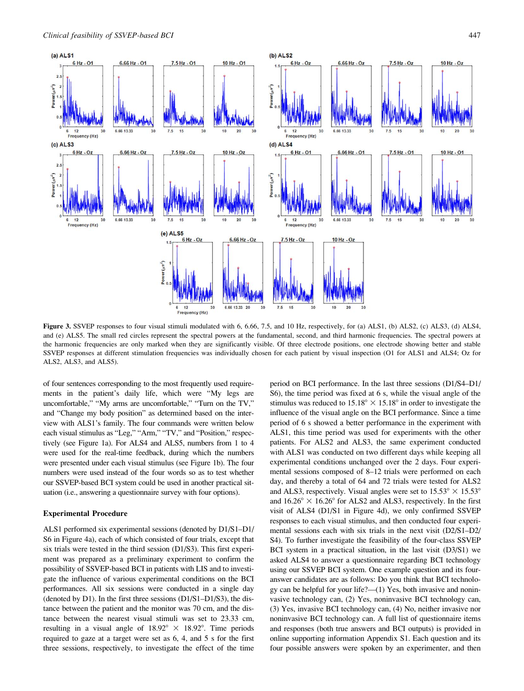

Figure 3. SSVEP responses to four visual stimuli modulated with 6, 6.66, 7.5, and 10 Hz, respectively, for (a) ALS1, (b) ALS2, (c) ALS3, (d) ALS4, and (e) ALS5. The small red circles represent the spectral powers at the fundamental, second, and third harmonic frequencies. The spectral powers at the harmonic frequencies are only marked when they are significantly visible. Of three electrode positions, one electrode showing better and stable SSVEP responses at different stimulation frequencies was individually chosen for each patient by visual inspection (O1 for ALS1 and ALS4; Oz for ALS2, ALS3, and ALS5).

of four sentences corresponding to the most frequently used requirements in the patient's daily life, which were "My legs are uncomfortable," "My arms are uncomfortable," "Turn on the TV," and "Change my body position" as determined based on the interview with ALS1's family. The four commands were written below each visual stimulus as "Leg," "Arm," "TV," and "Position," respectively (see Figure 1a). For ALS4 and ALS5, numbers from 1 to 4 were used for the real-time feedback, during which the numbers were presented under each visual stimulus (see Figure 1b). The four numbers were used instead of the four words so as to test whether our SSVEP-based BCI system could be used in another practical situation (i.e., answering a questionnaire survey with four options).

## Experimental Procedure

ALS1 performed six experimental sessions (denoted by D1/S1–D1/ S6 in Figure 4a), each of which consisted of four trials, except that six trials were tested in the third session (D1/S3). This first experiment was prepared as a preliminary experiment to confirm the possibility of SSVEP-based BCI in patients with LIS and to investigate the influence of various experimental conditions on the BCI performances. All six sessions were conducted in a single day (denoted by D1). In the first three sessions (D1/S1–D1/S3), the distance between the patient and the monitor was 70 cm, and the distance between the nearest visual stimuli was set to 23.33 cm, resulting in a visual angle of  $18.92^{\circ} \times 18.92^{\circ}$ . Time periods required to gaze at a target were set as 6, 4, and 5 s for the first three sessions, respectively, to investigate the effect of the time

period on BCI performance. In the last three sessions (D1/S4–D1/ S6), the time period was fixed at 6 s, while the visual angle of the stimulus was reduced to  $15.18^{\circ} \times 15.18^{\circ}$  in order to investigate the influence of the visual angle on the BCI performance. Since a time period of 6 s showed a better performance in the experiment with ALS1, this time period was used for experiments with the other patients. For ALS2 and ALS3, the same experiment conducted with ALS1 was conducted on two different days while keeping all experimental conditions unchanged over the 2 days. Four experimental sessions composed of 8–12 trials were performed on each day, and thereby a total of 64 and 72 trials were tested for ALS2 and ALS3, respectively. Visual angles were set to  $15.53^{\circ} \times 15.53^{\circ}$ and  $16.26^{\circ} \times 16.26^{\circ}$  for ALS2 and ALS3, respectively. In the first visit of ALS4 (D1/S1 in Figure 4d), we only confirmed SSVEP responses to each visual stimulus, and then conducted four experimental sessions each with six trials in the next visit (D2/S1–D2/ S4). To further investigate the feasibility of the four-class SSVEP BCI system in a practical situation, in the last visit (D3/S1) we asked ALS4 to answer a questionnaire regarding BCI technology using our SSVEP BCI system. One example question and its fouranswer candidates are as follows: Do you think that BCI technology can be helpful for your life?—(1) Yes, both invasive and noninvasive technology can, (2) Yes, noninvasive BCI technology can, (3) Yes, invasive BCI technology can, (4) No, neither invasive nor noninvasive BCI technology can. A full list of questionnaire items and responses (both true answers and BCI outputs) is provided in online supporting information Appendix S1. Each question and its four possible answers were spoken by an experimenter, and then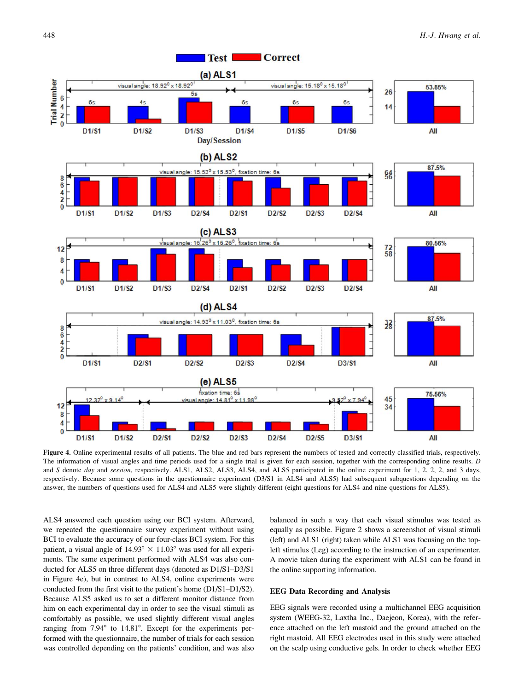

Figure 4. Online experimental results of all patients. The blue and red bars represent the numbers of tested and correctly classified trials, respectively. The information of visual angles and time periods used for a single trial is given for each session, together with the corresponding online results. D and S denote day and session, respectively. ALS1, ALS2, ALS3, ALS4, and ALS5 participated in the online experiment for 1, 2, 2, 2, and 3 days, respectively. Because some questions in the questionnaire experiment (D3/S1 in ALS4 and ALS5) had subsequent subquestions depending on the answer, the numbers of questions used for ALS4 and ALS5 were slightly different (eight questions for ALS4 and nine questions for ALS5).

ALS4 answered each question using our BCI system. Afterward, we repeated the questionnaire survey experiment without using BCI to evaluate the accuracy of our four-class BCI system. For this patient, a visual angle of  $14.93^{\circ} \times 11.03^{\circ}$  was used for all experiments. The same experiment performed with ALS4 was also conducted for ALS5 on three different days (denoted as D1/S1–D3/S1 in Figure 4e), but in contrast to ALS4, online experiments were conducted from the first visit to the patient's home (D1/S1–D1/S2). Because ALS5 asked us to set a different monitor distance from him on each experimental day in order to see the visual stimuli as comfortably as possible, we used slightly different visual angles ranging from  $7.94^{\circ}$  to  $14.81^{\circ}$ . Except for the experiments performed with the questionnaire, the number of trials for each session was controlled depending on the patients' condition, and was also balanced in such a way that each visual stimulus was tested as equally as possible. Figure 2 shows a screenshot of visual stimuli (left) and ALS1 (right) taken while ALS1 was focusing on the topleft stimulus (Leg) according to the instruction of an experimenter. A movie taken during the experiment with ALS1 can be found in the online supporting information.

## EEG Data Recording and Analysis

EEG signals were recorded using a multichannel EEG acquisition system (WEEG-32, Laxtha Inc., Daejeon, Korea), with the reference attached on the left mastoid and the ground attached on the right mastoid. All EEG electrodes used in this study were attached on the scalp using conductive gels. In order to check whether EEG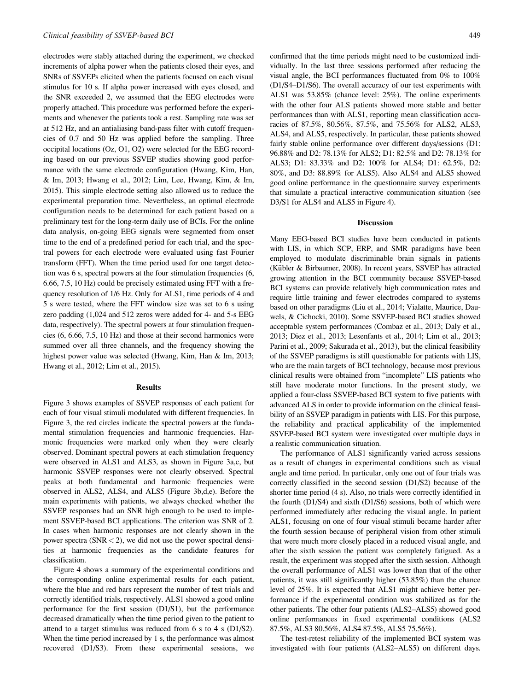electrodes were stably attached during the experiment, we checked increments of alpha power when the patients closed their eyes, and SNRs of SSVEPs elicited when the patients focused on each visual stimulus for 10 s. If alpha power increased with eyes closed, and the SNR exceeded 2, we assumed that the EEG electrodes were properly attached. This procedure was performed before the experiments and whenever the patients took a rest. Sampling rate was set at 512 Hz, and an antialiasing band-pass filter with cutoff frequencies of 0.7 and 50 Hz was applied before the sampling. Three occipital locations (Oz, O1, O2) were selected for the EEG recording based on our previous SSVEP studies showing good performance with the same electrode configuration (Hwang, Kim, Han, & Im, 2013; Hwang et al., 2012; Lim, Lee, Hwang, Kim, & Im, 2015). This simple electrode setting also allowed us to reduce the experimental preparation time. Nevertheless, an optimal electrode configuration needs to be determined for each patient based on a preliminary test for the long-term daily use of BCIs. For the online data analysis, on-going EEG signals were segmented from onset time to the end of a predefined period for each trial, and the spectral powers for each electrode were evaluated using fast Fourier transform (FFT). When the time period used for one target detection was 6 s, spectral powers at the four stimulation frequencies (6, 6.66, 7.5, 10 Hz) could be precisely estimated using FFT with a frequency resolution of 1/6 Hz. Only for ALS1, time periods of 4 and 5 s were tested, where the FFT window size was set to 6 s using zero padding (1,024 and 512 zeros were added for 4- and 5-s EEG data, respectively). The spectral powers at four stimulation frequencies (6, 6.66, 7.5, 10 Hz) and those at their second harmonics were summed over all three channels, and the frequency showing the highest power value was selected (Hwang, Kim, Han & Im, 2013; Hwang et al., 2012; Lim et al., 2015).

#### **Results**

Figure 3 shows examples of SSVEP responses of each patient for each of four visual stimuli modulated with different frequencies. In Figure 3, the red circles indicate the spectral powers at the fundamental stimulation frequencies and harmonic frequencies. Harmonic frequencies were marked only when they were clearly observed. Dominant spectral powers at each stimulation frequency were observed in ALS1 and ALS3, as shown in Figure 3a,c, but harmonic SSVEP responses were not clearly observed. Spectral peaks at both fundamental and harmonic frequencies were observed in ALS2, ALS4, and ALS5 (Figure 3b,d,e). Before the main experiments with patients, we always checked whether the SSVEP responses had an SNR high enough to be used to implement SSVEP-based BCI applications. The criterion was SNR of 2. In cases when harmonic responses are not clearly shown in the power spectra  $(SNR < 2)$ , we did not use the power spectral densities at harmonic frequencies as the candidate features for classification.

Figure 4 shows a summary of the experimental conditions and the corresponding online experimental results for each patient, where the blue and red bars represent the number of test trials and correctly identified trials, respectively. ALS1 showed a good online performance for the first session (D1/S1), but the performance decreased dramatically when the time period given to the patient to attend to a target stimulus was reduced from 6 s to 4 s (D1/S2). When the time period increased by 1 s, the performance was almost recovered (D1/S3). From these experimental sessions, we confirmed that the time periods might need to be customized individually. In the last three sessions performed after reducing the visual angle, the BCI performances fluctuated from 0% to 100% (D1/S4–D1/S6). The overall accuracy of our test experiments with ALS1 was 53.85% (chance level: 25%). The online experiments with the other four ALS patients showed more stable and better performances than with ALS1, reporting mean classification accuracies of 87.5%, 80.56%, 87.5%, and 75.56% for ALS2, ALS3, ALS4, and ALS5, respectively. In particular, these patients showed fairly stable online performance over different days/sessions (D1: 96.88% and D2: 78.13% for ALS2; D1: 82.5% and D2: 78.13% for ALS3; D1: 83.33% and D2: 100% for ALS4; D1: 62.5%, D2: 80%, and D3: 88.89% for ALS5). Also ALS4 and ALS5 showed good online performance in the questionnaire survey experiments that simulate a practical interactive communication situation (see D3/S1 for ALS4 and ALS5 in Figure 4).

#### Discussion

Many EEG-based BCI studies have been conducted in patients with LIS, in which SCP, ERP, and SMR paradigms have been employed to modulate discriminable brain signals in patients (Kübler  $& \text{Birbaumer, 2008}$ ). In recent years, SSVEP has attracted growing attention in the BCI community because SSVEP-based BCI systems can provide relatively high communication rates and require little training and fewer electrodes compared to systems based on other paradigms (Liu et al., 2014; Vialatte, Maurice, Dauwels, & Cichocki, 2010). Some SSVEP-based BCI studies showed acceptable system performances (Combaz et al., 2013; Daly et al., 2013; Diez et al., 2013; Lesenfants et al., 2014; Lim et al., 2013; Parini et al., 2009; Sakurada et al., 2013), but the clinical feasibility of the SSVEP paradigms is still questionable for patients with LIS, who are the main targets of BCI technology, because most previous clinical results were obtained from "incomplete" LIS patients who still have moderate motor functions. In the present study, we applied a four-class SSVEP-based BCI system to five patients with advanced ALS in order to provide information on the clinical feasibility of an SSVEP paradigm in patients with LIS. For this purpose, the reliability and practical applicability of the implemented SSVEP-based BCI system were investigated over multiple days in a realistic communication situation.

The performance of ALS1 significantly varied across sessions as a result of changes in experimental conditions such as visual angle and time period. In particular, only one out of four trials was correctly classified in the second session (D1/S2) because of the shorter time period (4 s). Also, no trials were correctly identified in the fourth (D1/S4) and sixth (D1/S6) sessions, both of which were performed immediately after reducing the visual angle. In patient ALS1, focusing on one of four visual stimuli became harder after the fourth session because of peripheral vision from other stimuli that were much more closely placed in a reduced visual angle, and after the sixth session the patient was completely fatigued. As a result, the experiment was stopped after the sixth session. Although the overall performance of ALS1 was lower than that of the other patients, it was still significantly higher (53.85%) than the chance level of 25%. It is expected that ALS1 might achieve better performance if the experimental condition was stabilized as for the other patients. The other four patients (ALS2–ALS5) showed good online performances in fixed experimental conditions (ALS2 87.5%, ALS3 80.56%, ALS4 87.5%, ALS5 75.56%).

The test-retest reliability of the implemented BCI system was investigated with four patients (ALS2–ALS5) on different days.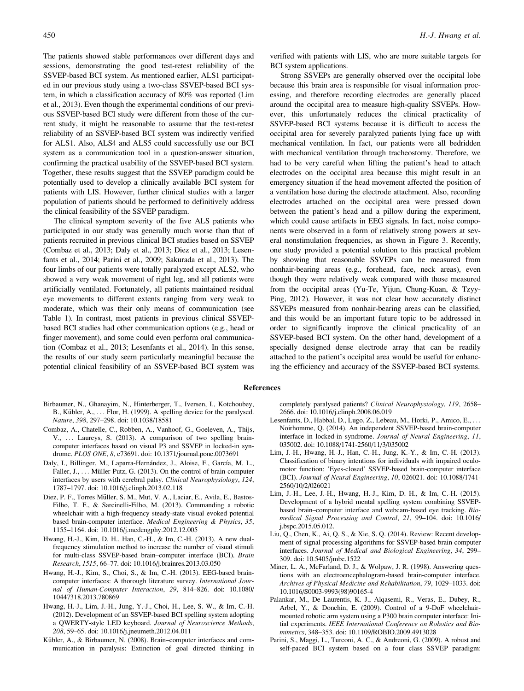The patients showed stable performances over different days and sessions, demonstrating the good test-retest reliability of the SSVEP-based BCI system. As mentioned earlier, ALS1 participated in our previous study using a two-class SSVEP-based BCI system, in which a classification accuracy of 80% was reported (Lim et al., 2013). Even though the experimental conditions of our previous SSVEP-based BCI study were different from those of the current study, it might be reasonable to assume that the test-retest reliability of an SSVEP-based BCI system was indirectly verified for ALS1. Also, ALS4 and ALS5 could successfully use our BCI system as a communication tool in a question-answer situation, confirming the practical usability of the SSVEP-based BCI system. Together, these results suggest that the SSVEP paradigm could be potentially used to develop a clinically available BCI system for patients with LIS. However, further clinical studies with a larger population of patients should be performed to definitively address the clinical feasibility of the SSVEP paradigm.

The clinical symptom severity of the five ALS patients who participated in our study was generally much worse than that of patients recruited in previous clinical BCI studies based on SSVEP (Combaz et al., 2013; Daly et al., 2013; Diez et al., 2013; Lesenfants et al., 2014; Parini et al., 2009; Sakurada et al., 2013). The four limbs of our patients were totally paralyzed except ALS2, who showed a very weak movement of right leg, and all patients were artificially ventilated. Fortunately, all patients maintained residual eye movements to different extents ranging from very weak to moderate, which was their only means of communication (see Table 1). In contrast, most patients in previous clinical SSVEPbased BCI studies had other communication options (e.g., head or finger movement), and some could even perform oral communication (Combaz et al., 2013; Lesenfants et al., 2014). In this sense, the results of our study seem particularly meaningful because the potential clinical feasibility of an SSVEP-based BCI system was

- Birbaumer, N., Ghanayim, N., Hinterberger, T., Iversen, I., Kotchoubey, B., Kübler, A.,  $\dots$  Flor, H. (1999). A spelling device for the paralysed. Nature, 398, 297–298. doi: [10.1038/18581](info:doi/10.1038/18581)
- Combaz, A., Chatelle, C., Robben, A., Vanhoof, G., Goeleven, A., Thijs, V., ... Laureys, S. (2013). A comparison of two spelling braincomputer interfaces based on visual P3 and SSVEP in locked-in syndrome. PLOS ONE, 8, e73691. doi: [10.1371/journal.pone.0073691](info:doi/10.1371/journal.pone.0073691)
- Daly, I., Billinger, M., Laparra-Hernández, J., Aloise, F., García, M. L., Faller, J.,  $\dots$  Müller-Putz, G. (2013). On the control of brain-computer interfaces by users with cerebral palsy. Clinical Neurophysiology, 124, 1787–1797. doi: [10.1016/j.clinph.2013.02.118](info:doi/10.1016/j.clinph.2013.02.118)
- Diez, P. F., Torres Müller, S. M., Mut, V. A., Laciar, E., Avila, E., Bastos-Filho, T. F., & Sarcinelli-Filho, M. (2013). Commanding a robotic wheelchair with a high-frequency steady-state visual evoked potential based brain-computer interface. Medical Engineering & Physics, 35, 1155–1164. doi: [10.1016/j.medengphy.2012.12.005](info:doi/10.1016/j.medengphy.2012.12.005)
- Hwang, H.-J., Kim, D. H., Han, C.-H., & Im, C.-H. (2013). A new dualfrequency stimulation method to increase the number of visual stimuli for multi-class SSVEP-based brain–computer interface (BCI). Brain Research, 1515, 66–77. doi: [10.1016/j.brainres.2013.03.050](info:doi/10.1016/j.brainres.2013.03.050)
- Hwang, H.-J., Kim, S., Choi, S., & Im, C.-H. (2013). EEG-based braincomputer interfaces: A thorough literature survey. International Journal of Human-Computer Interaction, 29, 814–826. doi: [10.1080/](info:doi/10.1080/10447318.2013.780869) [10447318.2013.780869](info:doi/10.1080/10447318.2013.780869)
- Hwang, H.-J., Lim, J.-H., Jung, Y.-J., Choi, H., Lee, S. W., & Im, C.-H. (2012). Development of an SSVEP-based BCI spelling system adopting a QWERTY-style LED keyboard. Journal of Neuroscience Methods, 208, 59–65. doi: [10.1016/j.jneumeth.2012.04.011](info:doi/10.1016/j.jneumeth.2012.04.011)
- Kübler, A., & Birbaumer, N. (2008). Brain–computer interfaces and communication in paralysis: Extinction of goal directed thinking in

verified with patients with LIS, who are more suitable targets for BCI system applications.

Strong SSVEPs are generally observed over the occipital lobe because this brain area is responsible for visual information processing, and therefore recording electrodes are generally placed around the occipital area to measure high-quality SSVEPs. However, this unfortunately reduces the clinical practicality of SSVEP-based BCI systems because it is difficult to access the occipital area for severely paralyzed patients lying face up with mechanical ventilation. In fact, our patients were all bedridden with mechanical ventilation through tracheostomy. Therefore, we had to be very careful when lifting the patient's head to attach electrodes on the occipital area because this might result in an emergency situation if the head movement affected the position of a ventilation hose during the electrode attachment. Also, recording electrodes attached on the occipital area were pressed down between the patient's head and a pillow during the experiment, which could cause artifacts in EEG signals. In fact, noise components were observed in a form of relatively strong powers at several nonstimulation frequencies, as shown in Figure 3. Recently, one study provided a potential solution to this practical problem by showing that reasonable SSVEPs can be measured from nonhair-bearing areas (e.g., forehead, face, neck areas), even though they were relatively weak compared with those measured from the occipital areas (Yu-Te, Yijun, Chung-Kuan, & Tzyy-Ping, 2012). However, it was not clear how accurately distinct SSVEPs measured from nonhair-bearing areas can be classified, and this would be an important future topic to be addressed in order to significantly improve the clinical practicality of an SSVEP-based BCI system. On the other hand, development of a specially designed dense electrode array that can be readily attached to the patient's occipital area would be useful for enhancing the efficiency and accuracy of the SSVEP-based BCI systems.

#### References

completely paralysed patients? Clinical Neurophysiology, 119, 2658– 2666. doi: [10.1016/j.clinph.2008.06.019](info:doi/10.1016/j.clinph.2008.06.019)

- Lesenfants, D., Habbal, D., Lugo, Z., Lebeau, M., Horki, P., Amico, E., ... Noirhomme, Q. (2014). An independent SSVEP-based brain-computer interface in locked-in syndrome. Journal of Neural Engineering, 11, 035002. doi: [10.1088/1741-2560/11/3/035002](info:doi/10.1088/1741-2560/11/3/035002)
- Lim, J.-H., Hwang, H.-J., Han, C.-H., Jung, K.-Y., & Im, C.-H. (2013). Classification of binary intentions for individuals with impaired oculomotor function: 'Eyes-closed' SSVEP-based brain-computer interface (BCI). Journal of Neural Engineering, 10, 026021. doi: [10.1088/1741-](info:doi/10.1088/1741-2560/10/2/026021) [2560/10/2/026021](info:doi/10.1088/1741-2560/10/2/026021)
- Lim, J.-H., Lee, J.-H., Hwang, H.-J., Kim, D. H., & Im, C.-H. (2015). Development of a hybrid mental spelling system combining SSVEPbased brain–computer interface and webcam-based eye tracking. Biomedical Signal Processing and Control, 21, 99–104. doi: [10.1016/](info:doi/10.1016/j.bspc.2015.05.012) [j.bspc.2015.05.012](info:doi/10.1016/j.bspc.2015.05.012).
- Liu, Q., Chen, K., Ai, Q. S., & Xie, S. Q. (2014). Review: Recent development of signal processing algorithms for SSVEP-based brain computer interfaces. Journal of Medical and Biological Engineering, 34, 299– 309. doi: [10.5405/jmbe.1522](info:doi/10.5405/jmbe.1522)
- Miner, L. A., McFarland, D. J., & Wolpaw, J. R. (1998). Answering questions with an electroencephalogram-based brain-computer interface. Archives of Physical Medicine and Rehabilitation, 79, 1029–1033. doi: [10.1016/S0003-9993\(98\)90165-4](info:doi/10.1016/S0003-9993(98)90165-4)
- Palankar, M., De Laurentis, K. J., Alqasemi, R., Veras, E., Dubey, R., Arbel, Y., & Donchin, E. (2009). Control of a 9-DoF wheelchairmounted robotic arm system using a P300 brain computer interface: Initial experiments. IEEE International Conference on Robotics and Biomimetics, 348–353. doi: [10.1109/ROBIO.2009.4913028](info:doi/10.1109/ROBIO.2009.4913028)
- Parini, S., Maggi, L., Turconi, A. C., & Andreoni, G. (2009). A robust and self-paced BCI system based on a four class SSVEP paradigm: